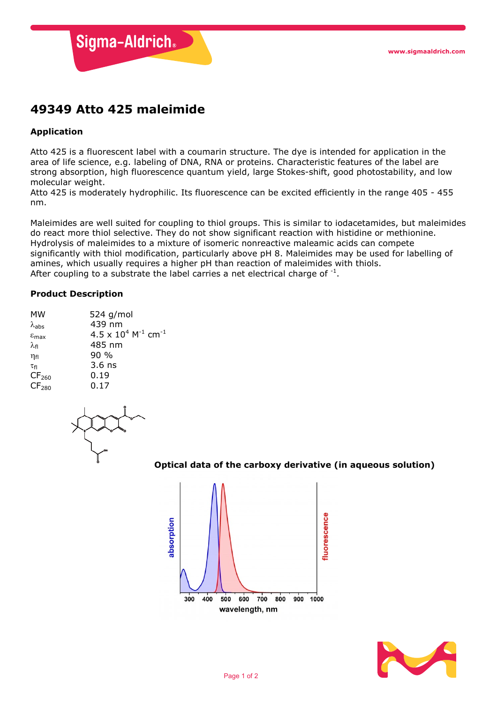

# **49349 Atto 425 maleimide**

# **Application**

Atto 425 is a fluorescent label with a coumarin structure. The dye is intended for application in the area of life science, e.g. labeling of DNA, RNA or proteins. Characteristic features of the label are strong absorption, high fluorescence quantum yield, large Stokes-shift, good photostability, and low molecular weight.

Atto 425 is moderately hydrophilic. Its fluorescence can be excited efficiently in the range 405 - 455 nm.

Maleimides are well suited for coupling to thiol groups. This is similar to iodacetamides, but maleimides do react more thiol selective. They do not show significant reaction with histidine or methionine. Hydrolysis of maleimides to a mixture of isomeric nonreactive maleamic acids can compete significantly with thiol modification, particularly above pH 8. Maleimides may be used for labelling of amines, which usually requires a higher pH than reaction of maleimides with thiols. After coupling to a substrate the label carries a net electrical charge of  $^{-1}$ .

### **Product Description**

| 524 g/mol                                          |
|----------------------------------------------------|
| 439 nm                                             |
| $4.5 \times 10^4$ M <sup>-1</sup> cm <sup>-1</sup> |
| 485 nm                                             |
| 90 %                                               |
| $3.6$ ns                                           |
| 0.19                                               |
| 0.17                                               |
|                                                    |

## **Optical data of the carboxy derivative (in aqueous solution)**